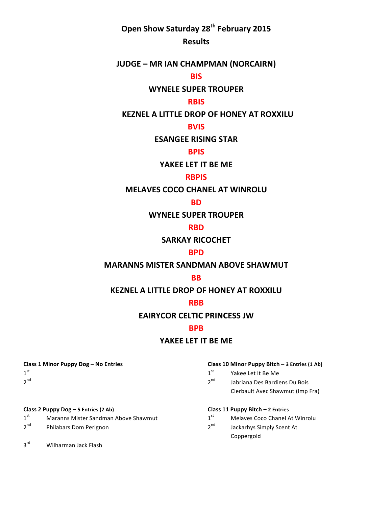# **Open Show Saturday 28th February 2015**

## **Results**

## **JUDGE – MR IAN CHAMPMAN (NORCAIRN)**

## **BIS**

## **WYNELE SUPER TROUPER**

### **RBIS**

## **KEZNEL A LITTLE DROP OF HONEY AT ROXXILU**

## **BVIS**

### **ESANGEE RISING STAR**

## **BPIS**

### YAKEE LET IT BE ME

## **RBPIS**

## **MELAVES COCO CHANEL AT WINROLU**

#### **BD**

## **WYNELE SUPER TROUPER**

## **RBD**

## **SARKAY RICOCHET**

#### **BPD**

## **MARANNS MISTER SANDMAN ABOVE SHAWMUT**

#### **BB**

## **KEZNEL A LITTLE DROP OF HONEY AT ROXXILU**

#### **RBB**

## **EAIRYCOR CELTIC PRINCESS JW**

## **BPB**

## YAKEE LET IT BE ME

#### **Class 1 Minor Puppy Dog – No Entries Class 10 Minor Puppy Bitch – 3 Entries (1 Ab)**

- $1^{st}$  Yakee Let It Be Me
- $2^{nd}$  Jabriana Des Bardiens Du Bois Clerbault Avec Shawmut (Imp Fra)

- $1<sup>st</sup>$  Maranns Mister Sandman Above Shawmut  $1<sup>st</sup>$  Melaves Coco Chanel At Winrolu
- $2^{nd}$  Philabars Dom Perignon 2<sup>nd</sup> Jackarhys Simply Scent At

#### **Class 2 Puppy Dog – 5 Entries (2 Ab) Class 11 Puppy Bitch – 2 Entries**

- 
- Coppergold

3<sup>rd</sup> Wilharman Jack Flash